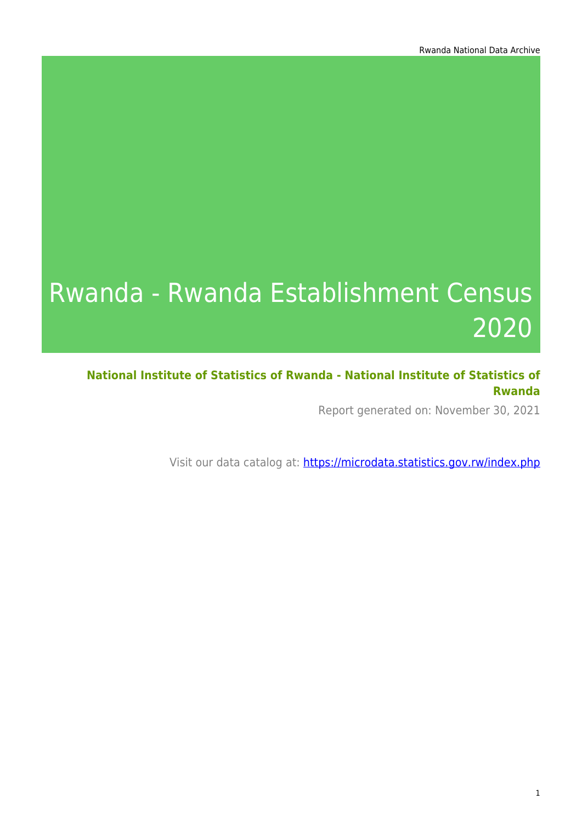# Rwanda - Rwanda Establishment Census 2020

**National Institute of Statistics of Rwanda - National Institute of Statistics of Rwanda**

Report generated on: November 30, 2021

Visit our data catalog at: https://microdata.statistics.gov.rw/index.php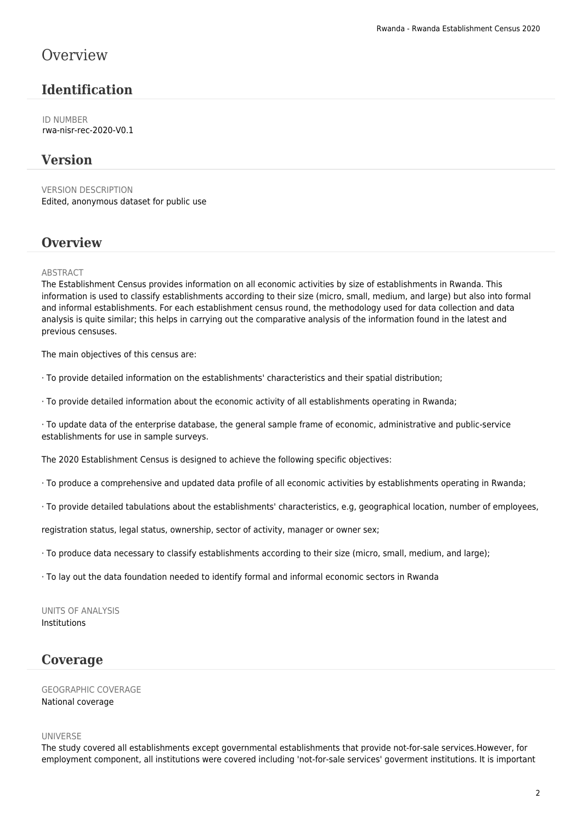### **Overview**

### **Identification**

ID NUMBER rwa-nisr-rec-2020-V0.1

### **Version**

VERSION DESCRIPTION Edited, anonymous dataset for public use

### **Overview**

#### ABSTRACT

The Establishment Census provides information on all economic activities by size of establishments in Rwanda. This information is used to classify establishments according to their size (micro, small, medium, and large) but also into formal and informal establishments. For each establishment census round, the methodology used for data collection and data analysis is quite similar; this helps in carrying out the comparative analysis of the information found in the latest and previous censuses.

The main objectives of this census are:

· To provide detailed information on the establishments' characteristics and their spatial distribution;

· To provide detailed information about the economic activity of all establishments operating in Rwanda;

· To update data of the enterprise database, the general sample frame of economic, administrative and public-service establishments for use in sample surveys.

The 2020 Establishment Census is designed to achieve the following specific objectives:

· To produce a comprehensive and updated data profile of all economic activities by establishments operating in Rwanda;

· To provide detailed tabulations about the establishments' characteristics, e.g, geographical location, number of employees,

registration status, legal status, ownership, sector of activity, manager or owner sex;

· To produce data necessary to classify establishments according to their size (micro, small, medium, and large);

· To lay out the data foundation needed to identify formal and informal economic sectors in Rwanda

UNITS OF ANALYSIS Institutions

### **Coverage**

GEOGRAPHIC COVERAGE National coverage

#### UNIVERSE

The study covered all establishments except governmental establishments that provide not-for-sale services.However, for employment component, all institutions were covered including 'not-for-sale services' goverment institutions. It is important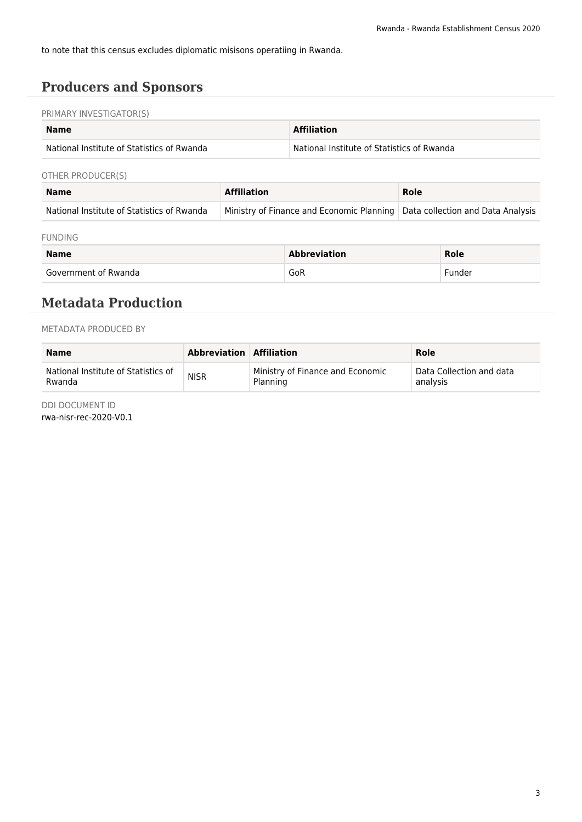to note that this census excludes diplomatic misisons operatiing in Rwanda.

### **Producers and Sponsors**

#### PRIMARY INVESTIGATOR(S)

| <b>Name</b>                                       | <b>Affiliation</b>                         |
|---------------------------------------------------|--------------------------------------------|
| <b>National Institute of Statistics of Rwanda</b> | National Institute of Statistics of Rwanda |

#### OTHER PRODUCER(S)

| <b>Name</b>                                | <b>Affiliation</b>                                                            | Role |  |
|--------------------------------------------|-------------------------------------------------------------------------------|------|--|
| National Institute of Statistics of Rwanda | Ministry of Finance and Economic Planning   Data collection and Data Analysis |      |  |

#### FUNDING

| <b>Name</b>          | Abbreviation | Role   |
|----------------------|--------------|--------|
| Government of Rwanda | GoR          | -under |

### **Metadata Production**

#### METADATA PRODUCED BY

| <b>Name</b>                         | Abbreviation Affiliation |                                  | Role                     |
|-------------------------------------|--------------------------|----------------------------------|--------------------------|
| National Institute of Statistics of | <b>NISR</b>              | Ministry of Finance and Economic | Data Collection and data |
| Rwanda                              |                          | Planning                         | analysis                 |

DDI DOCUMENT ID

rwa-nisr-rec-2020-V0.1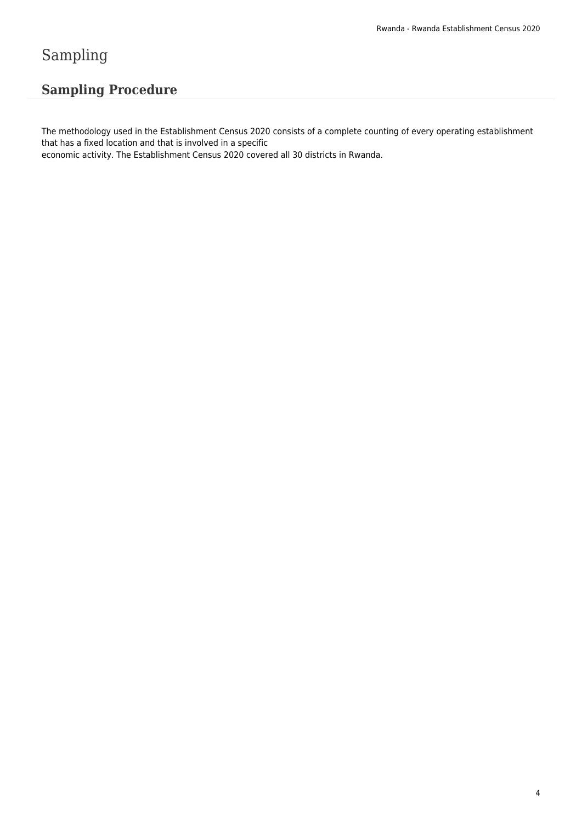# Sampling

### **Sampling Procedure**

The methodology used in the Establishment Census 2020 consists of a complete counting of every operating establishment that has a fixed location and that is involved in a specific

economic activity. The Establishment Census 2020 covered all 30 districts in Rwanda.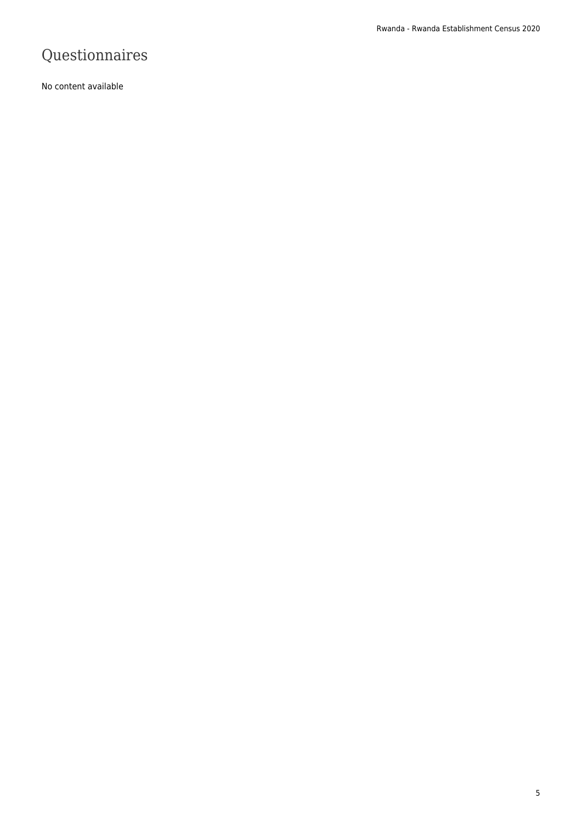# Questionnaires

No content available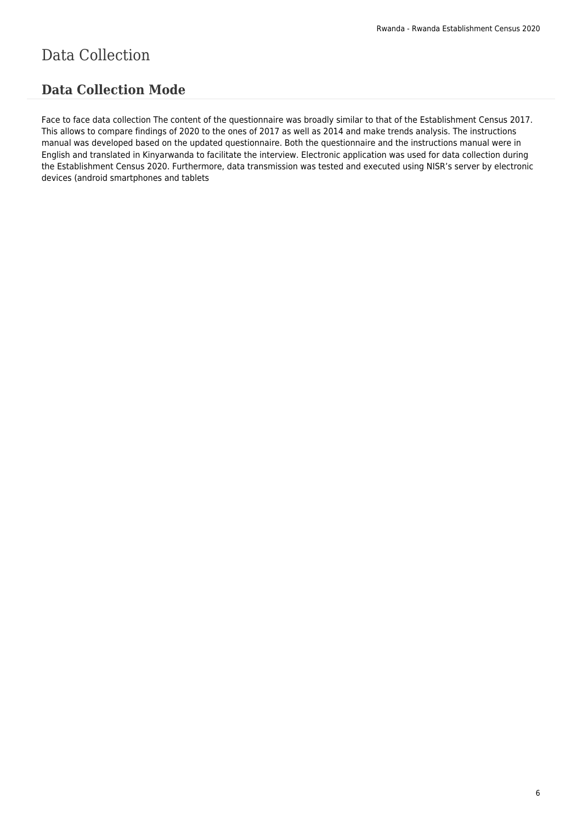# Data Collection

### **Data Collection Mode**

Face to face data collection The content of the questionnaire was broadly similar to that of the Establishment Census 2017. This allows to compare findings of 2020 to the ones of 2017 as well as 2014 and make trends analysis. The instructions manual was developed based on the updated questionnaire. Both the questionnaire and the instructions manual were in English and translated in Kinyarwanda to facilitate the interview. Electronic application was used for data collection during the Establishment Census 2020. Furthermore, data transmission was tested and executed using NISR's server by electronic devices (android smartphones and tablets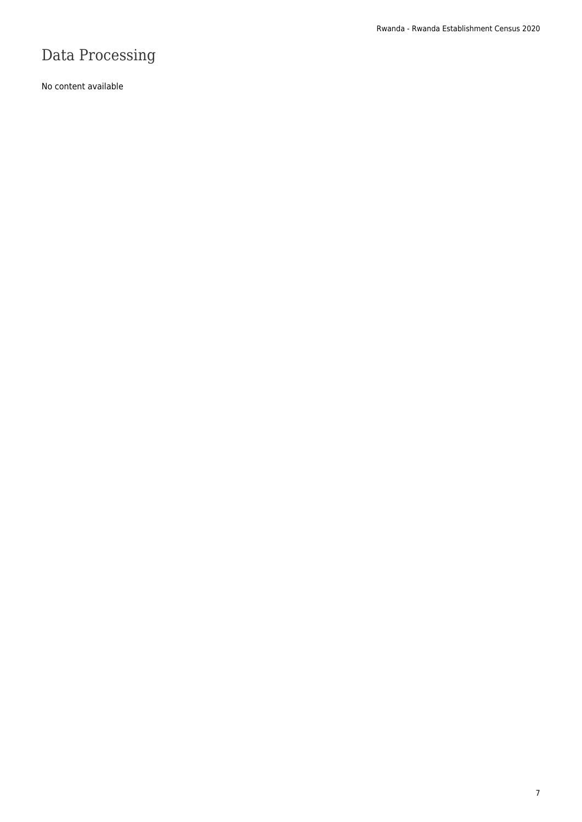# Data Processing

No content available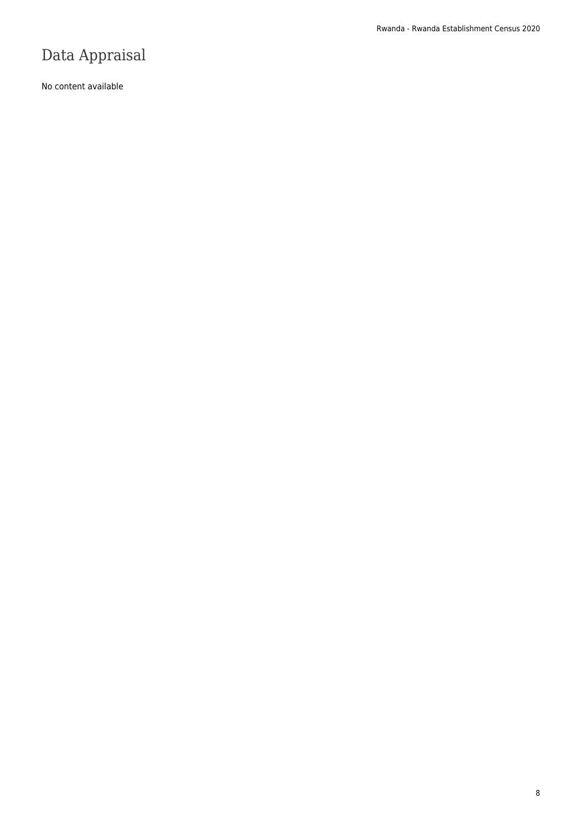# Data Appraisal

No content available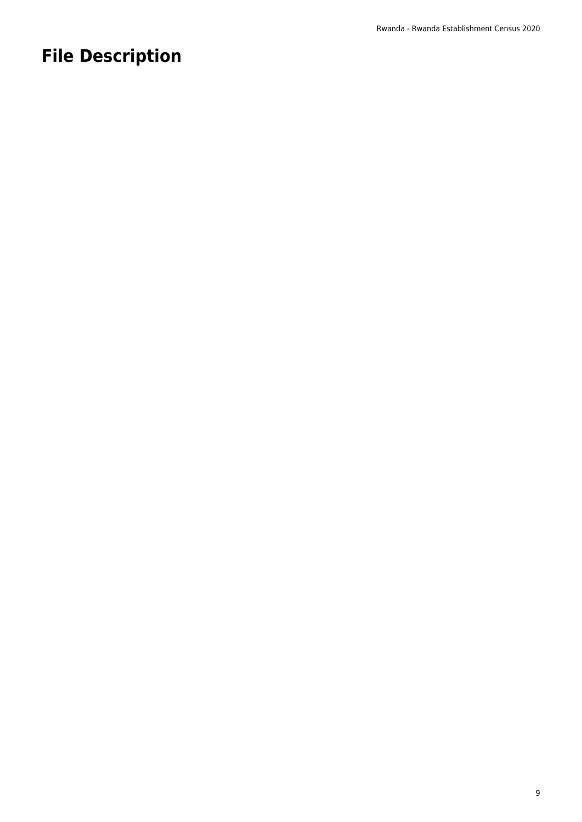# **File Description**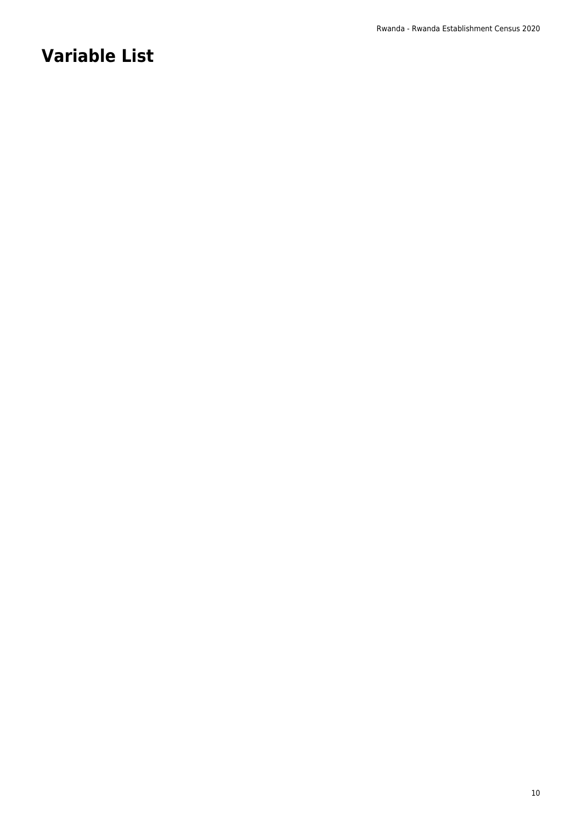# **Variable List**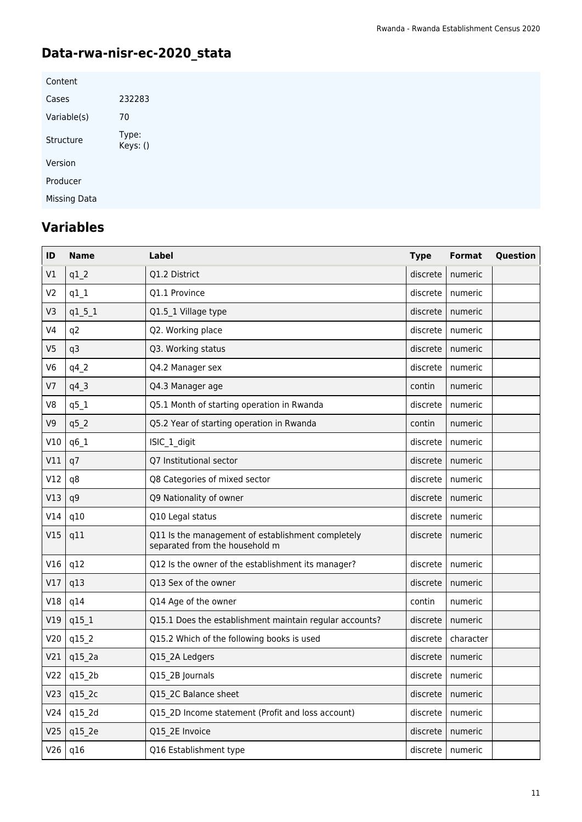# **Data-rwa-nisr-ec-2020\_stata**

| Content      |                   |
|--------------|-------------------|
| Cases        | 232283            |
| Variable(s)  | 70                |
| Structure    | Type:<br>Keys: () |
| Version      |                   |
| Producer     |                   |
| Missing Data |                   |

# **Variables**

| ID              | <b>Name</b>    | Label                                                                               | <b>Type</b> | <b>Format</b> | Question |
|-----------------|----------------|-------------------------------------------------------------------------------------|-------------|---------------|----------|
| V1              | $q1_2$         | Q1.2 District                                                                       | discrete    | numeric       |          |
| V <sub>2</sub>  | $q1_1$         | Q1.1 Province                                                                       | discrete    | numeric       |          |
| V3              | $q1_5_1$       | Q1.5 1 Village type                                                                 | discrete    | numeric       |          |
| V <sub>4</sub>  | q <sub>2</sub> | Q2. Working place                                                                   | discrete    | numeric       |          |
| V <sub>5</sub>  | q3             | Q3. Working status                                                                  | discrete    | numeric       |          |
| V <sub>6</sub>  | $q4$ $2$       | Q4.2 Manager sex                                                                    | discrete    | numeric       |          |
| V7              | $q4_3$         | Q4.3 Manager age                                                                    | contin      | numeric       |          |
| V8              | $q5_1$         | Q5.1 Month of starting operation in Rwanda                                          | discrete    | numeric       |          |
| V <sub>9</sub>  | q5 2           | Q5.2 Year of starting operation in Rwanda                                           | contin      | numeric       |          |
| V10             | q6_1           | ISIC_1_digit                                                                        | discrete    | numeric       |          |
| V11             | q7             | Q7 Institutional sector                                                             | discrete    | numeric       |          |
| V12             | q8             | Q8 Categories of mixed sector                                                       | discrete    | numeric       |          |
| V13             | q9             | Q9 Nationality of owner                                                             | discrete    | numeric       |          |
| V14             | q10            | Q10 Legal status                                                                    | discrete    | numeric       |          |
| V15             | q11            | Q11 Is the management of establishment completely<br>separated from the household m | discrete    | numeric       |          |
| V16             | q12            | Q12 Is the owner of the establishment its manager?                                  | discrete    | numeric       |          |
| V17             | q13            | Q13 Sex of the owner                                                                | discrete    | numeric       |          |
| V18             | q14            | Q14 Age of the owner                                                                | contin      | numeric       |          |
| V19             | $q15_1$        | Q15.1 Does the establishment maintain regular accounts?                             | discrete    | numeric       |          |
| V20             | q15_2          | Q15.2 Which of the following books is used                                          | discrete    | character     |          |
| V21             | q15_2a         | Q15 2A Ledgers                                                                      | discrete    | numeric       |          |
| V <sub>22</sub> | q15_2b         | Q15 2B Journals                                                                     | discrete    | numeric       |          |
| V <sub>23</sub> | q15_2c         | Q15 2C Balance sheet                                                                | discrete    | numeric       |          |
| V24             | q15_2d         | Q15 2D Income statement (Profit and loss account)                                   | discrete    | numeric       |          |
| V25             | q15 2e         | Q15 2E Invoice                                                                      | discrete    | numeric       |          |
| V26             | q16            | Q16 Establishment type                                                              | discrete    | numeric       |          |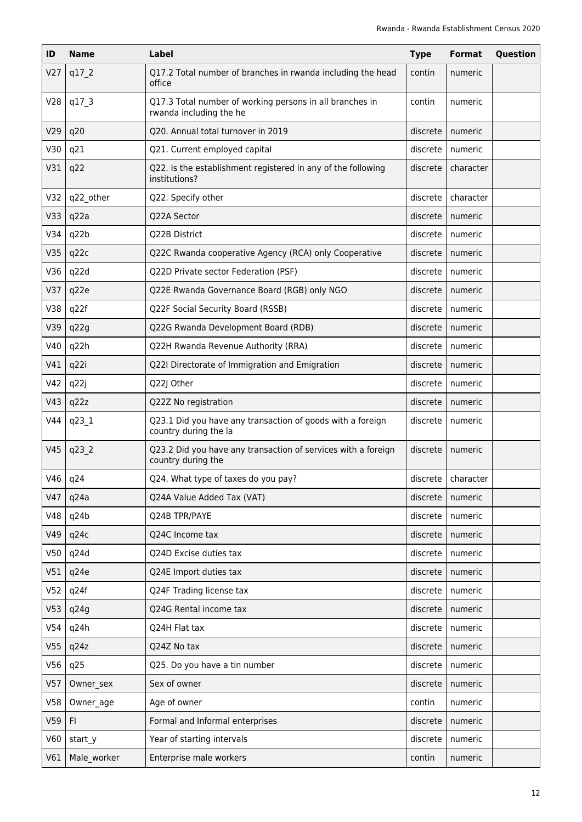| ID              | <b>Name</b> | <b>Label</b>                                                                        | <b>Type</b> | <b>Format</b>        | Question |
|-----------------|-------------|-------------------------------------------------------------------------------------|-------------|----------------------|----------|
| V <sub>27</sub> | q17 2       | Q17.2 Total number of branches in rwanda including the head<br>office               | contin      | numeric              |          |
| V <sub>28</sub> | q17 3       | Q17.3 Total number of working persons in all branches in<br>rwanda including the he | contin      | numeric              |          |
| V29             | q20         | Q20. Annual total turnover in 2019                                                  | discrete    | numeric              |          |
| V30             | q21         | Q21. Current employed capital                                                       | discrete    | numeric              |          |
| V31             | q22         | Q22. Is the establishment registered in any of the following<br>institutions?       | discrete    | character            |          |
| V32             | q22_other   | Q22. Specify other                                                                  | discrete    | character            |          |
| V33             | q22a        | Q22A Sector                                                                         | discrete    | numeric              |          |
| V34             | q22b        | Q22B District                                                                       | discrete    | numeric              |          |
| V35             | q22c        | Q22C Rwanda cooperative Agency (RCA) only Cooperative                               | discrete    | numeric              |          |
| V36             | q22d        | Q22D Private sector Federation (PSF)                                                | discrete    | numeric              |          |
| V37             | q22e        | Q22E Rwanda Governance Board (RGB) only NGO                                         | discrete    | numeric              |          |
| V38             | q22f        | Q22F Social Security Board (RSSB)                                                   | discrete    | numeric              |          |
| V39             | q22g        | Q22G Rwanda Development Board (RDB)                                                 | discrete    | numeric              |          |
| V40             | q22h        | Q22H Rwanda Revenue Authority (RRA)                                                 | discrete    | numeric              |          |
| V41             | q22i        | Q22I Directorate of Immigration and Emigration                                      | discrete    | numeric              |          |
| V42             | q22j        | Q22J Other                                                                          | discrete    | numeric              |          |
| V43             | q22z        | Q22Z No registration                                                                | discrete    | numeric              |          |
| V44             | q23 1       | Q23.1 Did you have any transaction of goods with a foreign<br>country during the la | discrete    | numeric              |          |
| V45             | q23 2       | Q23.2 Did you have any transaction of services with a foreign<br>country during the | discrete    | numeric              |          |
|                 | $V46$   q24 | Q24. What type of taxes do you pay?                                                 |             | discrete   character |          |
| V47             | q24a        | Q24A Value Added Tax (VAT)                                                          | discrete    | numeric              |          |
| V48             | q24b        | Q24B TPR/PAYE                                                                       | discrete    | numeric              |          |
| V49             | q24c        | Q24C Income tax                                                                     | discrete    | numeric              |          |
| V50             | q24d        | Q24D Excise duties tax                                                              | discrete    | numeric              |          |
| V51             | q24e        | Q24E Import duties tax                                                              | discrete    | numeric              |          |
| V <sub>52</sub> | q24f        | Q24F Trading license tax                                                            | discrete    | numeric              |          |
| V <sub>53</sub> | q24g        | Q24G Rental income tax                                                              | discrete    | numeric              |          |
| V54             | q24h        | Q24H Flat tax                                                                       | discrete    | numeric              |          |
| V <sub>55</sub> | q24z        | Q24Z No tax                                                                         | discrete    | numeric              |          |
| V56             | q25         | Q25. Do you have a tin number                                                       | discrete    | numeric              |          |
| V57             | Owner_sex   | Sex of owner                                                                        | discrete    | numeric              |          |
| V58             | Owner age   | Age of owner                                                                        | contin      | numeric              |          |
| V59             | F1          | Formal and Informal enterprises                                                     | discrete    | numeric              |          |
| V60             | start y     | Year of starting intervals                                                          | discrete    | numeric              |          |
| V61             | Male_worker | Enterprise male workers                                                             | contin      | numeric              |          |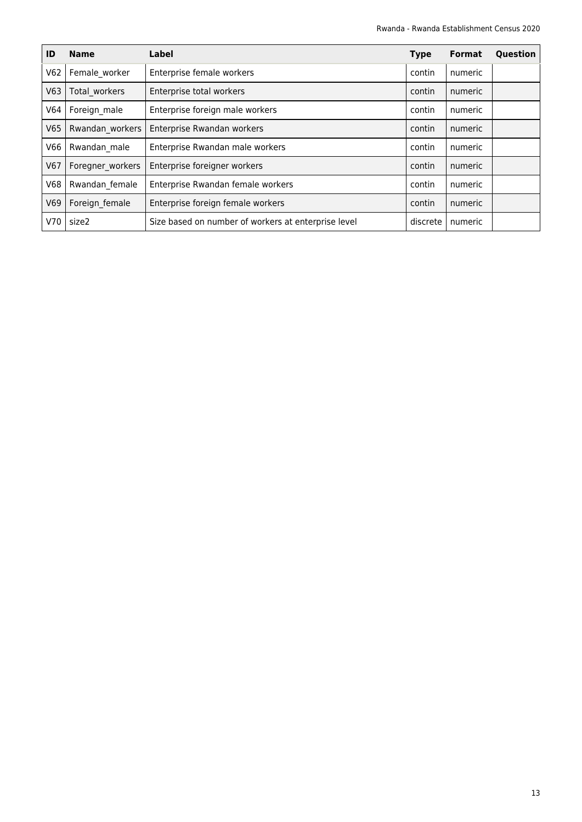| ID         | <b>Name</b>      | Label                                               | <b>Type</b> | <b>Format</b> | Question |
|------------|------------------|-----------------------------------------------------|-------------|---------------|----------|
| V62        | Female worker    | Enterprise female workers                           | contin      | numeric       |          |
| V63        | Total workers    | Enterprise total workers                            | contin      | numeric       |          |
| V64        | Foreign male     | Enterprise foreign male workers                     | contin      | numeric       |          |
| V65        | Rwandan workers  | Enterprise Rwandan workers                          | contin      | numeric       |          |
| V66        | Rwandan male     | Enterprise Rwandan male workers                     | contin      | numeric       |          |
| V67        | Foregner workers | Enterprise foreigner workers                        | contin      | numeric       |          |
| <b>V68</b> | Rwandan female   | Enterprise Rwandan female workers                   | contin      | numeric       |          |
| V69        | Foreign female   | Enterprise foreign female workers                   | contin      | numeric       |          |
| V70        | size2            | Size based on number of workers at enterprise level | discrete    | numeric       |          |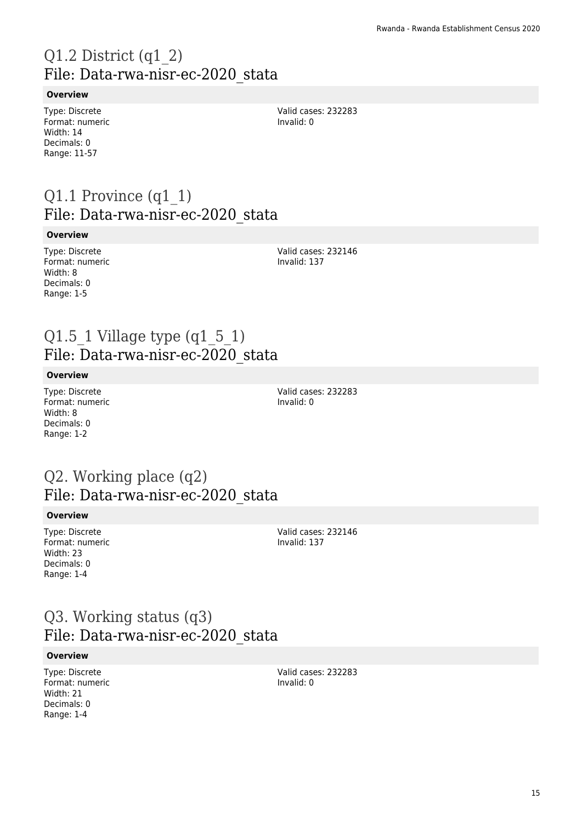# Q1.2 District (q1\_2) File: Data-rwa-nisr-ec-2020\_stata

#### **Overview**

Type: Discrete Format: numeric Width: 14 Decimals: 0 Range: 11-57

Valid cases: 232283 Invalid: 0

### Q1.1 Province (q1\_1) File: Data-rwa-nisr-ec-2020\_stata

#### **Overview**

Type: Discrete Format: numeric Width: 8 Decimals: 0 Range: 1-5

Valid cases: 232146 Invalid: 137

### Q1.5 1 Village type  $(q1_5_1)$ File: Data-rwa-nisr-ec-2020\_stata

#### **Overview**

Type: Discrete Format: numeric Width: 8 Decimals: 0 Range: 1-2

Valid cases: 232283 Invalid: 0

### Q2. Working place (q2) File: Data-rwa-nisr-ec-2020\_stata

#### **Overview**

Type: Discrete Format: numeric Width: 23 Decimals: 0 Range: 1-4

Valid cases: 232146 Invalid: 137

### Q3. Working status (q3) File: Data-rwa-nisr-ec-2020\_stata

#### **Overview**

Type: Discrete Format: numeric Width: 21 Decimals: 0 Range: 1-4

Valid cases: 232283 Invalid: 0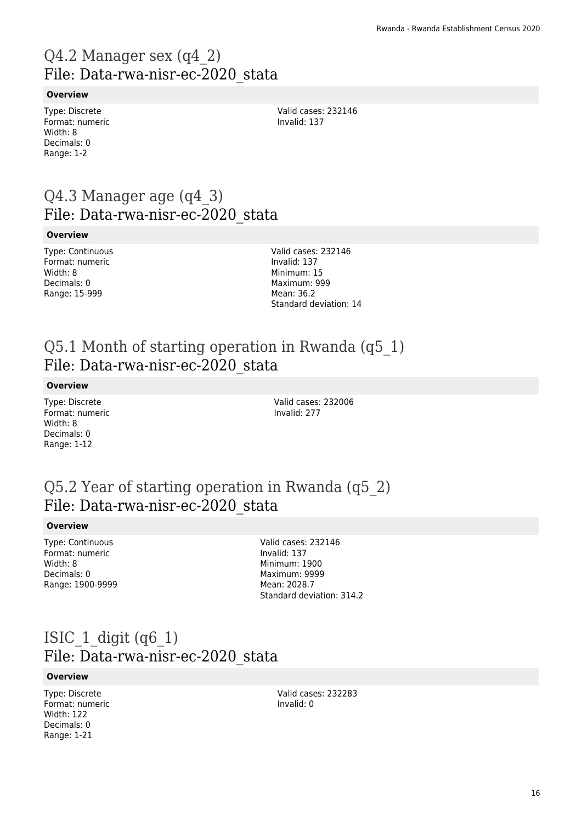# Q4.2 Manager sex (q4\_2) File: Data-rwa-nisr-ec-2020\_stata

#### **Overview**

Type: Discrete Format: numeric Width: 8 Decimals: 0 Range: 1-2

Valid cases: 232146 Invalid: 137

### Q4.3 Manager age (q4\_3) File: Data-rwa-nisr-ec-2020\_stata

#### **Overview**

Type: Continuous Format: numeric Width: 8 Decimals: 0 Range: 15-999

Valid cases: 232146 Invalid: 137 Minimum: 15 Maximum: 999 Mean: 36.2 Standard deviation: 14

### Q5.1 Month of starting operation in Rwanda (q5\_1) File: Data-rwa-nisr-ec-2020\_stata

#### **Overview**

Type: Discrete Format: numeric Width: 8 Decimals: 0 Range: 1-12

Valid cases: 232006 Invalid: 277

### Q5.2 Year of starting operation in Rwanda (q5\_2) File: Data-rwa-nisr-ec-2020\_stata

#### **Overview**

Type: Continuous Format: numeric Width: 8 Decimals: 0 Range: 1900-9999 Valid cases: 232146 Invalid: 137 Minimum: 1900 Maximum: 9999 Mean: 2028.7 Standard deviation: 314.2

### ISIC  $1$  digit (q6 $1$ ) File: Data-rwa-nisr-ec-2020\_stata

#### **Overview**

Type: Discrete Format: numeric Width: 122 Decimals: 0 Range: 1-21

Valid cases: 232283 Invalid: 0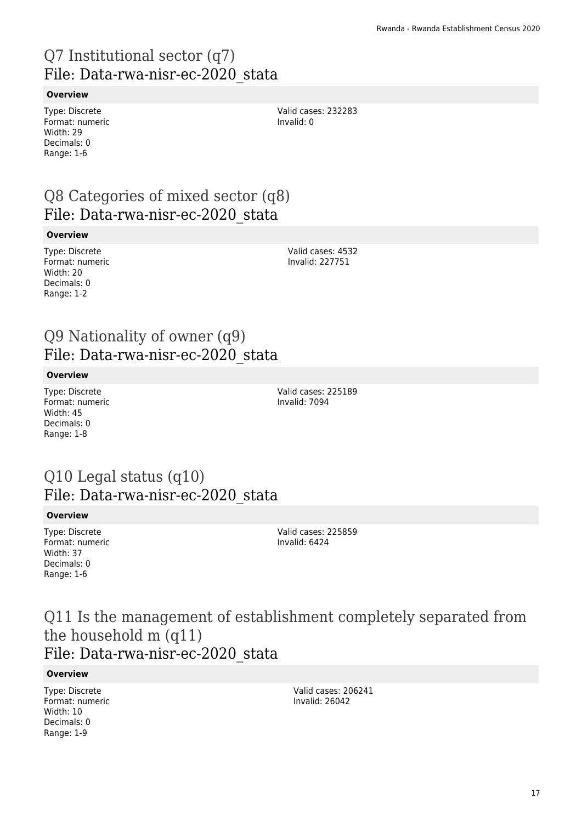# Q7 Institutional sector (q7) File: Data-rwa-nisr-ec-2020\_stata

#### **Overview**

Type: Discrete Format: numeric Width: 29 Decimals: 0 Range: 1-6

Valid cases: 232283 Invalid: 0

### Q8 Categories of mixed sector (q8) File: Data-rwa-nisr-ec-2020\_stata

#### **Overview**

Type: Discrete Format: numeric Width: 20 Decimals: 0 Range: 1-2

Valid cases: 4532 Invalid: 227751

### Q9 Nationality of owner (q9) File: Data-rwa-nisr-ec-2020\_stata

#### **Overview**

Type: Discrete Format: numeric Width: 45 Decimals: 0 Range: 1-8

Valid cases: 225189 Invalid: 7094

### Q10 Legal status (q10) File: Data-rwa-nisr-ec-2020\_stata

#### **Overview**

Type: Discrete Format: numeric Width: 37 Decimals: 0 Range: 1-6

Valid cases: 225859 Invalid: 6424

Q11 Is the management of establishment completely separated from the household m (q11) File: Data-rwa-nisr-ec-2020\_stata

#### **Overview**

Type: Discrete Format: numeric Width: 10 Decimals: 0 Range: 1-9

Valid cases: 206241 Invalid: 26042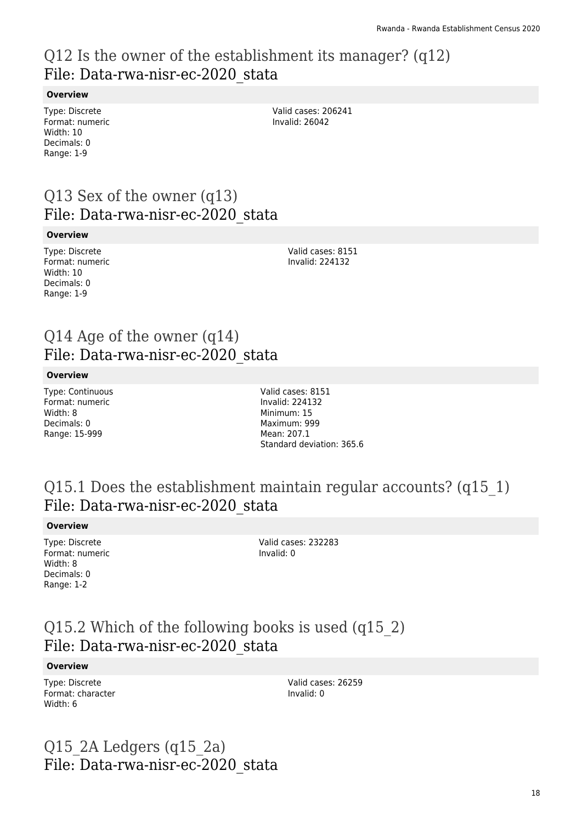### Q12 Is the owner of the establishment its manager? (q12) File: Data-rwa-nisr-ec-2020\_stata

#### **Overview**

Type: Discrete Format: numeric Width: 10 Decimals: 0 Range: 1-9

Valid cases: 206241 Invalid: 26042

### Q13 Sex of the owner (q13) File: Data-rwa-nisr-ec-2020\_stata

#### **Overview**

Type: Discrete Format: numeric Width: 10 Decimals: 0 Range: 1-9

Valid cases: 8151 Invalid: 224132

### Q14 Age of the owner (q14) File: Data-rwa-nisr-ec-2020\_stata

#### **Overview**

Type: Continuous Format: numeric Width: 8 Decimals: 0 Range: 15-999

Valid cases: 8151 Invalid: 224132 Minimum: 15 Maximum: 999 Mean: 207.1 Standard deviation: 365.6

### Q15.1 Does the establishment maintain regular accounts? (q15\_1) File: Data-rwa-nisr-ec-2020\_stata

#### **Overview**

Type: Discrete Format: numeric Width: 8 Decimals: 0 Range: 1-2

Valid cases: 232283 Invalid: 0

### Q15.2 Which of the following books is used (q15\_2) File: Data-rwa-nisr-ec-2020\_stata

#### **Overview**

Type: Discrete Format: character Width: 6

Valid cases: 26259 Invalid: 0

### Q15 $2A$  Ledgers (q15 $2a$ ) File: Data-rwa-nisr-ec-2020\_stata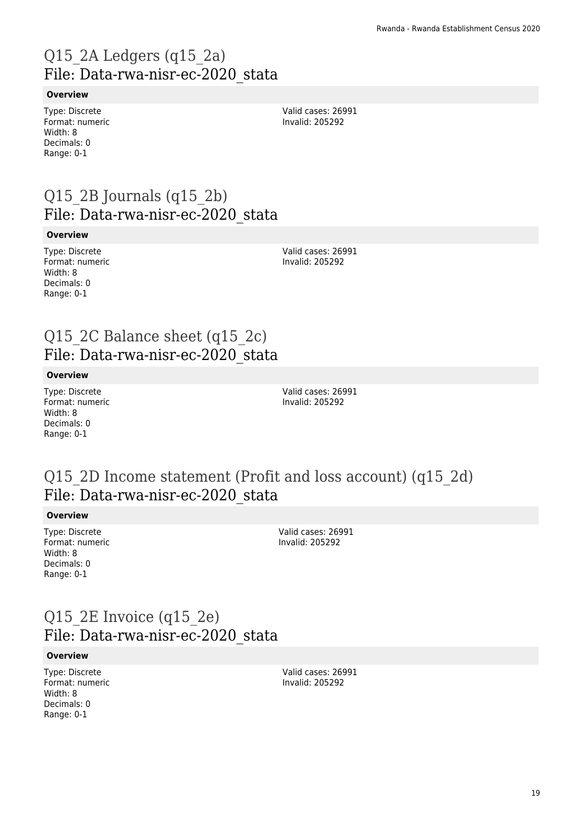# Q15\_2A Ledgers (q15\_2a) File: Data-rwa-nisr-ec-2020\_stata

#### **Overview**

Type: Discrete Format: numeric Width: 8 Decimals: 0 Range: 0-1

Valid cases: 26991 Invalid: 205292

### Q15 $2B$  Journals (q15 $2b$ ) File: Data-rwa-nisr-ec-2020\_stata

#### **Overview**

Type: Discrete Format: numeric Width: 8 Decimals: 0 Range: 0-1

Valid cases: 26991 Invalid: 205292

### Q15 2C Balance sheet (q15 2c) File: Data-rwa-nisr-ec-2020\_stata

#### **Overview**

Type: Discrete Format: numeric Width: 8 Decimals: 0 Range: 0-1

Valid cases: 26991 Invalid: 205292

### Q15<sup>2D</sup> Income statement (Profit and loss account) (q15<sup>2d)</sup> File: Data-rwa-nisr-ec-2020\_stata

#### **Overview**

Type: Discrete Format: numeric Width: 8 Decimals: 0 Range: 0-1

Valid cases: 26991 Invalid: 205292

### Q15 2E Invoice (q15 2e) File: Data-rwa-nisr-ec-2020\_stata

#### **Overview**

Type: Discrete Format: numeric Width: 8 Decimals: 0 Range: 0-1

Valid cases: 26991 Invalid: 205292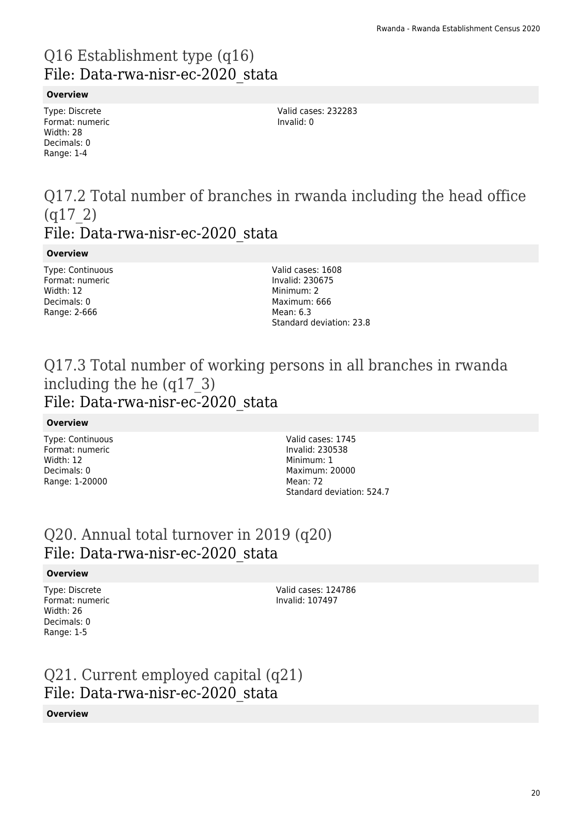# Q16 Establishment type (q16) File: Data-rwa-nisr-ec-2020\_stata

#### **Overview**

Type: Discrete Format: numeric Width: 28 Decimals: 0 Range: 1-4

Valid cases: 232283 Invalid: 0

### Q17.2 Total number of branches in rwanda including the head office (q17\_2) File: Data-rwa-nisr-ec-2020\_stata

#### **Overview**

Type: Continuous Format: numeric Width: 12 Decimals: 0 Range: 2-666

Valid cases: 1608 Invalid: 230675 Minimum: 2 Maximum: 666 Mean: 6.3 Standard deviation: 23.8

### Q17.3 Total number of working persons in all branches in rwanda including the he (q17\_3) File: Data-rwa-nisr-ec-2020\_stata

#### **Overview**

Type: Continuous Format: numeric Width: 12 Decimals: 0 Range: 1-20000

Valid cases: 1745 Invalid: 230538 Minimum: 1 Maximum: 20000 Mean: 72 Standard deviation: 524.7

### Q20. Annual total turnover in 2019 (q20) File: Data-rwa-nisr-ec-2020\_stata

#### **Overview**

Type: Discrete Format: numeric Width: 26 Decimals: 0 Range: 1-5

Valid cases: 124786 Invalid: 107497

# Q21. Current employed capital (q21) File: Data-rwa-nisr-ec-2020\_stata

#### **Overview**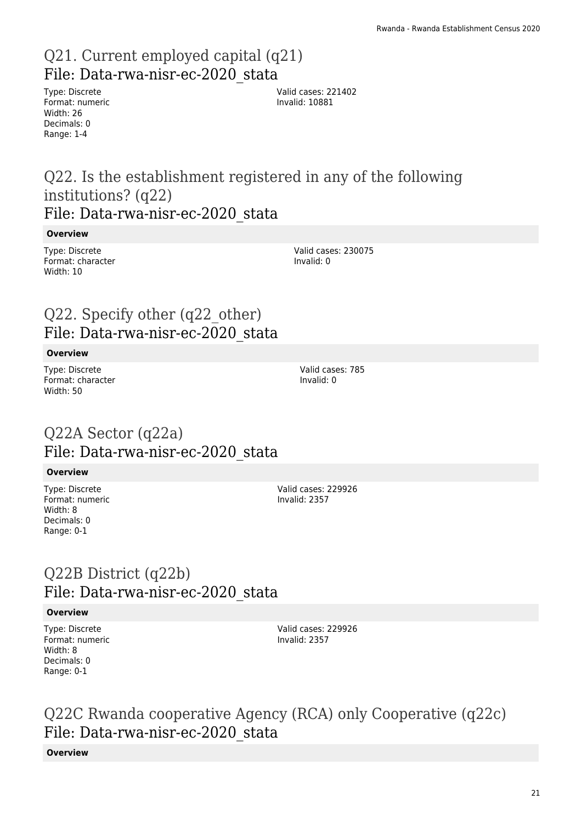### Q21. Current employed capital (q21) File: Data-rwa-nisr-ec-2020\_stata

Type: Discrete Format: numeric Width: 26 Decimals: 0 Range: 1-4

Valid cases: 221402 Invalid: 10881

### Q22. Is the establishment registered in any of the following institutions? (q22) File: Data-rwa-nisr-ec-2020\_stata

#### **Overview**

Type: Discrete Format: character Width: 10

Valid cases: 230075 Invalid: 0

### Q22. Specify other (q22\_other) File: Data-rwa-nisr-ec-2020\_stata

#### **Overview**

Type: Discrete Format: character Width: 50

### Q22A Sector (q22a) File: Data-rwa-nisr-ec-2020\_stata

#### **Overview**

Type: Discrete Format: numeric Width: 8 Decimals: 0 Range: 0-1

Valid cases: 229926 Invalid: 2357

### Q22B District (q22b) File: Data-rwa-nisr-ec-2020\_stata

#### **Overview**

Type: Discrete Format: numeric Width: 8 Decimals: 0 Range: 0-1

Valid cases: 229926 Invalid: 2357

Q22C Rwanda cooperative Agency (RCA) only Cooperative (q22c) File: Data-rwa-nisr-ec-2020\_stata

#### **Overview**

#### 21

Valid cases: 785 Invalid: 0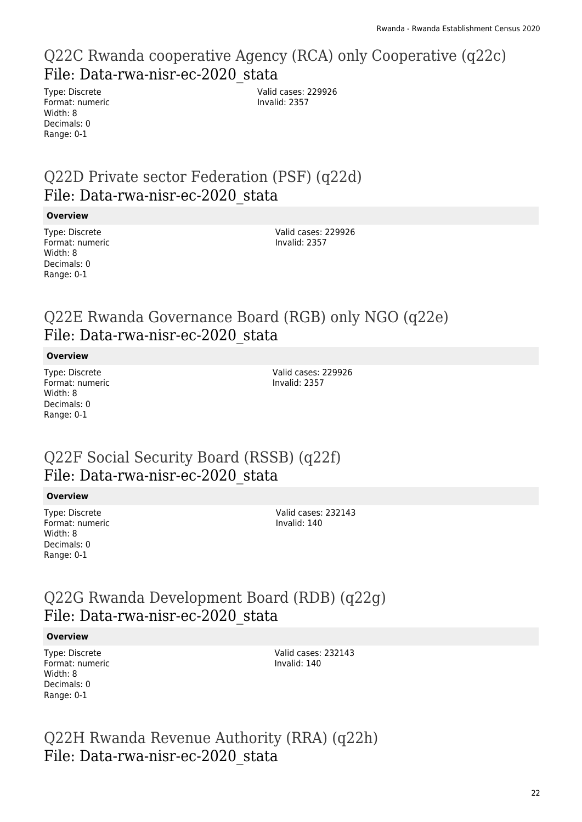### Q22C Rwanda cooperative Agency (RCA) only Cooperative (q22c) File: Data-rwa-nisr-ec-2020\_stata

Type: Discrete Format: numeric Width: 8 Decimals: 0 Range: 0-1

Valid cases: 229926 Invalid: 2357

### Q22D Private sector Federation (PSF) (q22d) File: Data-rwa-nisr-ec-2020\_stata

#### **Overview**

Type: Discrete Format: numeric Width: 8 Decimals: 0 Range: 0-1

Valid cases: 229926 Invalid: 2357

### Q22E Rwanda Governance Board (RGB) only NGO (q22e) File: Data-rwa-nisr-ec-2020\_stata

#### **Overview**

Type: Discrete Format: numeric Width: 8 Decimals: 0 Range: 0-1

Valid cases: 229926 Invalid: 2357

### Q22F Social Security Board (RSSB) (q22f) File: Data-rwa-nisr-ec-2020\_stata

#### **Overview**

Type: Discrete Format: numeric Width: 8 Decimals: 0 Range: 0-1

Valid cases: 232143 Invalid: 140

### Q22G Rwanda Development Board (RDB) (q22g) File: Data-rwa-nisr-ec-2020\_stata

#### **Overview**

Type: Discrete Format: numeric Width: 8 Decimals: 0 Range: 0-1

Valid cases: 232143 Invalid: 140

Q22H Rwanda Revenue Authority (RRA) (q22h) File: Data-rwa-nisr-ec-2020\_stata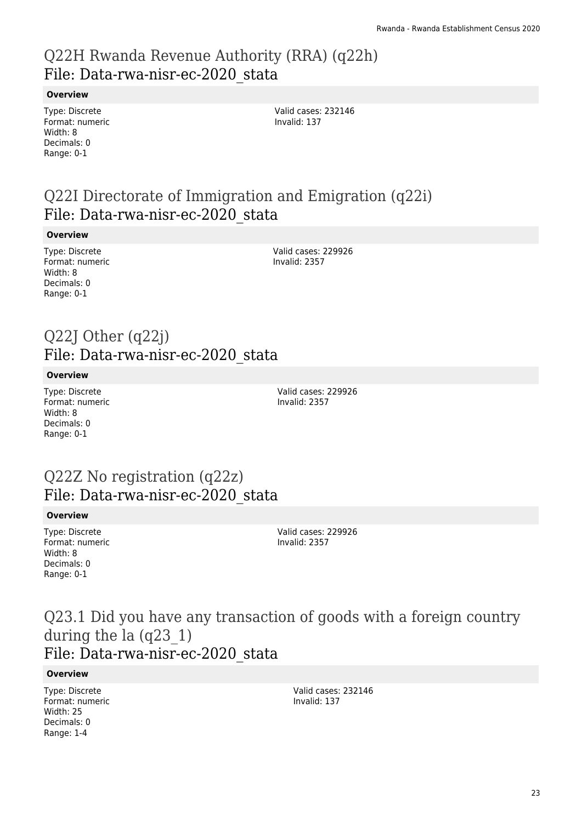### Q22H Rwanda Revenue Authority (RRA) (q22h) File: Data-rwa-nisr-ec-2020\_stata

**Overview**

Type: Discrete Format: numeric Width: 8 Decimals: 0 Range: 0-1

Valid cases: 232146 Invalid: 137

### Q22I Directorate of Immigration and Emigration (q22i) File: Data-rwa-nisr-ec-2020\_stata

#### **Overview**

Type: Discrete Format: numeric Width: 8 Decimals: 0 Range: 0-1

Valid cases: 229926 Invalid: 2357

### Q22J Other (q22j) File: Data-rwa-nisr-ec-2020\_stata

#### **Overview**

Type: Discrete Format: numeric Width: 8 Decimals: 0 Range: 0-1

Valid cases: 229926 Invalid: 2357

### Q22Z No registration (q22z) File: Data-rwa-nisr-ec-2020\_stata

#### **Overview**

Type: Discrete Format: numeric Width: 8 Decimals: 0 Range: 0-1

Valid cases: 229926 Invalid: 2357

### Q23.1 Did you have any transaction of goods with a foreign country during the la (q23\_1) File: Data-rwa-nisr-ec-2020\_stata

#### **Overview**

Type: Discrete Format: numeric Width: 25 Decimals: 0 Range: 1-4

Valid cases: 232146 Invalid: 137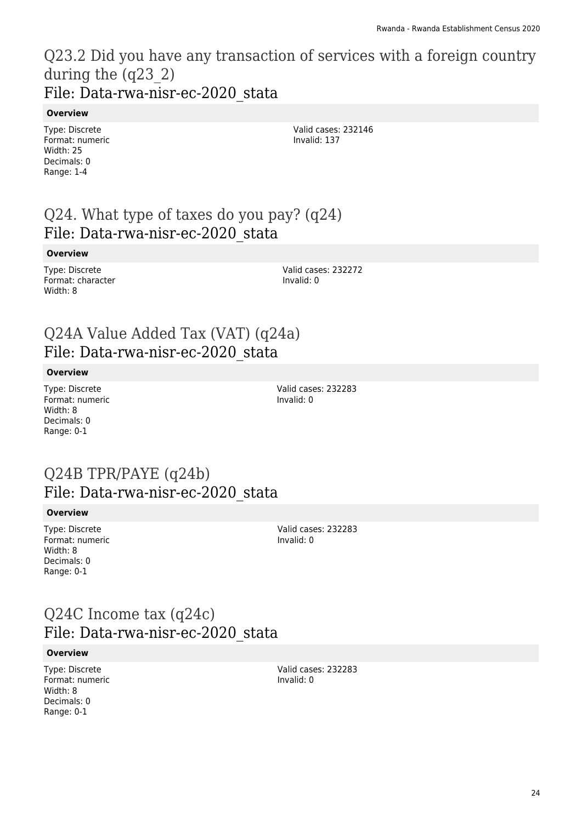### Q23.2 Did you have any transaction of services with a foreign country during the (q23\_2) File: Data-rwa-nisr-ec-2020\_stata

#### **Overview**

Type: Discrete Format: numeric Width: 25 Decimals: 0 Range: 1-4

Valid cases: 232146 Invalid: 137

### Q24. What type of taxes do you pay? (q24) File: Data-rwa-nisr-ec-2020\_stata

#### **Overview**

Type: Discrete Format: character Width: 8

Valid cases: 232272 Invalid: 0

### Q24A Value Added Tax (VAT) (q24a) File: Data-rwa-nisr-ec-2020\_stata

#### **Overview**

Type: Discrete Format: numeric Width: 8 Decimals: 0 Range: 0-1

Valid cases: 232283 Invalid: 0

### Q24B TPR/PAYE (q24b) File: Data-rwa-nisr-ec-2020\_stata

#### **Overview**

Type: Discrete Format: numeric Width: 8 Decimals: 0 Range: 0-1

Valid cases: 232283 Invalid: 0

### Q24C Income tax (q24c) File: Data-rwa-nisr-ec-2020\_stata

#### **Overview**

Type: Discrete Format: numeric Width: 8 Decimals: 0 Range: 0-1

Valid cases: 232283 Invalid: 0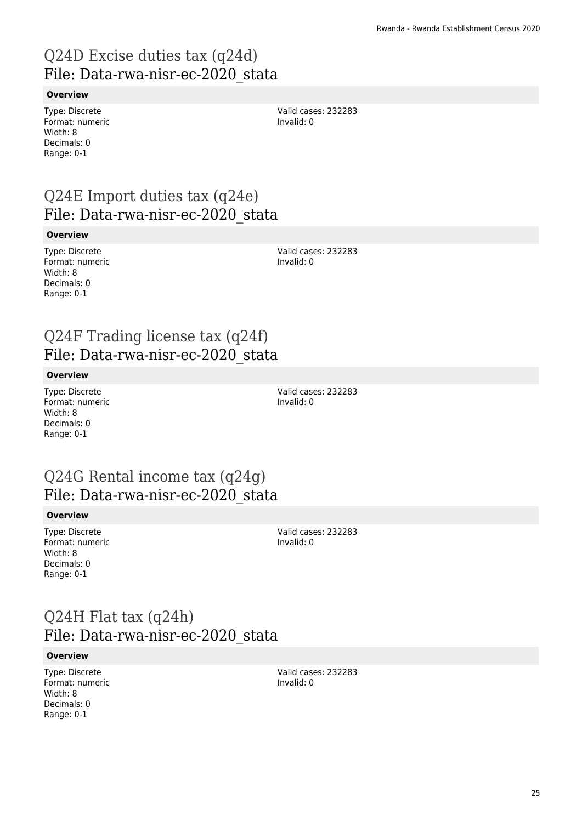# Q24D Excise duties tax (q24d) File: Data-rwa-nisr-ec-2020\_stata

#### **Overview**

Type: Discrete Format: numeric Width: 8 Decimals: 0 Range: 0-1

Valid cases: 232283 Invalid: 0

### Q24E Import duties tax (q24e) File: Data-rwa-nisr-ec-2020\_stata

#### **Overview**

Type: Discrete Format: numeric Width: 8 Decimals: 0 Range: 0-1

Valid cases: 232283 Invalid: 0

### Q24F Trading license tax (q24f) File: Data-rwa-nisr-ec-2020\_stata

#### **Overview**

Type: Discrete Format: numeric Width: 8 Decimals: 0 Range: 0-1

Valid cases: 232283 Invalid: 0

### Q24G Rental income tax (q24g) File: Data-rwa-nisr-ec-2020\_stata

#### **Overview**

Type: Discrete Format: numeric Width: 8 Decimals: 0 Range: 0-1

Valid cases: 232283 Invalid: 0

### Q24H Flat tax (q24h) File: Data-rwa-nisr-ec-2020\_stata

#### **Overview**

Type: Discrete Format: numeric Width: 8 Decimals: 0 Range: 0-1

Valid cases: 232283 Invalid: 0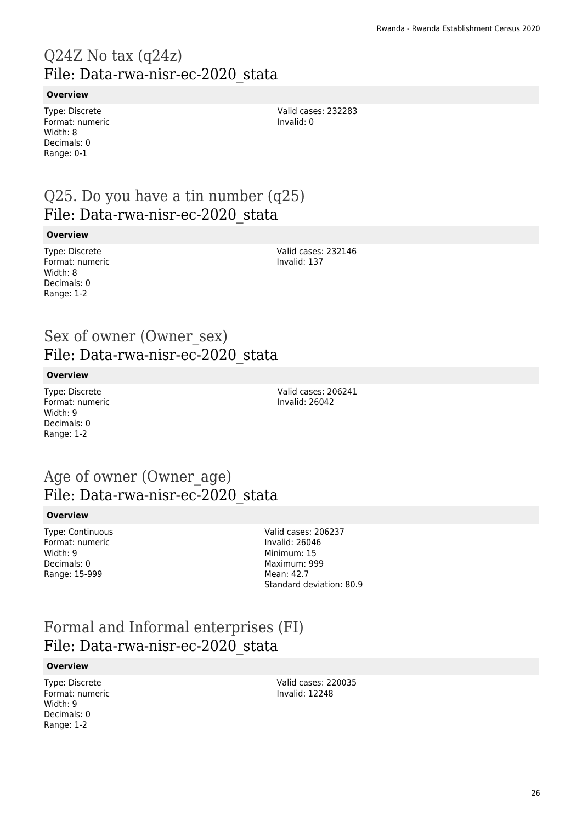# Q24Z No tax (q24z) File: Data-rwa-nisr-ec-2020\_stata

#### **Overview**

Type: Discrete Format: numeric Width: 8 Decimals: 0 Range: 0-1

Valid cases: 232283 Invalid: 0

### Q25. Do you have a tin number (q25) File: Data-rwa-nisr-ec-2020\_stata

#### **Overview**

Type: Discrete Format: numeric Width: 8 Decimals: 0 Range: 1-2

Valid cases: 232146 Invalid: 137

### Sex of owner (Owner\_sex) File: Data-rwa-nisr-ec-2020\_stata

#### **Overview**

Type: Discrete Format: numeric Width: 9 Decimals: 0 Range: 1-2

Valid cases: 206241 Invalid: 26042

### Age of owner (Owner\_age) File: Data-rwa-nisr-ec-2020\_stata

#### **Overview**

Type: Continuous Format: numeric Width: 9 Decimals: 0 Range: 15-999

Valid cases: 206237 Invalid: 26046 Minimum: 15 Maximum: 999 Mean: 42.7 Standard deviation: 80.9

### Formal and Informal enterprises (FI) File: Data-rwa-nisr-ec-2020\_stata

#### **Overview**

Type: Discrete Format: numeric Width: 9 Decimals: 0 Range: 1-2

Valid cases: 220035 Invalid: 12248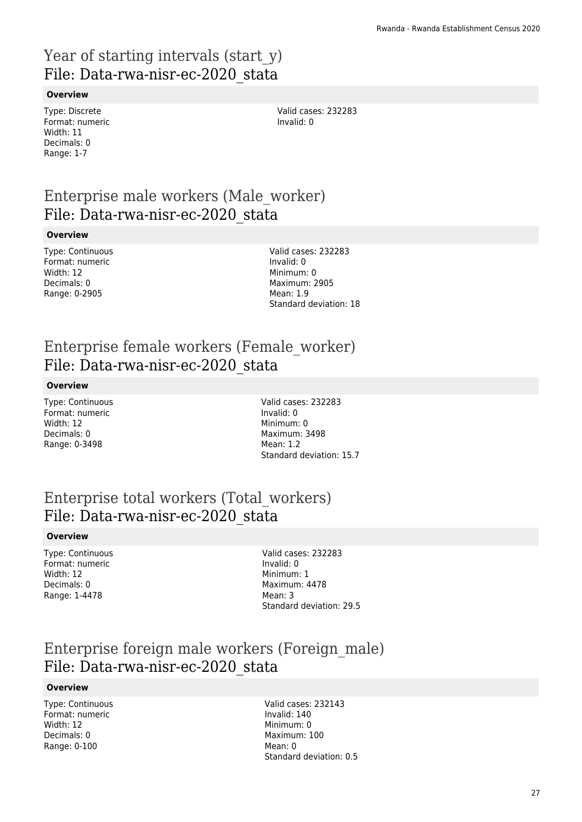### Year of starting intervals (start y) File: Data-rwa-nisr-ec-2020\_stata

#### **Overview**

Type: Discrete Format: numeric Width: 11 Decimals: 0 Range: 1-7

Valid cases: 232283 Invalid: 0

### Enterprise male workers (Male\_worker) File: Data-rwa-nisr-ec-2020\_stata

#### **Overview**

Type: Continuous Format: numeric Width: 12 Decimals: 0 Range: 0-2905

Valid cases: 232283 Invalid: 0 Minimum: 0 Maximum: 2905 Mean: 1.9 Standard deviation: 18

### Enterprise female workers (Female\_worker) File: Data-rwa-nisr-ec-2020\_stata

#### **Overview**

Type: Continuous Format: numeric Width: 12 Decimals: 0 Range: 0-3498

Valid cases: 232283 Invalid: 0 Minimum: 0 Maximum: 3498 Mean: 1.2 Standard deviation: 15.7

### Enterprise total workers (Total\_workers) File: Data-rwa-nisr-ec-2020\_stata

#### **Overview**

Type: Continuous Format: numeric Width: 12 Decimals: 0 Range: 1-4478

Valid cases: 232283 Invalid: 0 Minimum: 1 Maximum: 4478 Mean: 3 Standard deviation: 29.5

### Enterprise foreign male workers (Foreign\_male) File: Data-rwa-nisr-ec-2020\_stata

#### **Overview**

Type: Continuous Format: numeric Width: 12 Decimals: 0 Range: 0-100

Valid cases: 232143 Invalid: 140 Minimum: 0 Maximum: 100 Mean: 0 Standard deviation: 0.5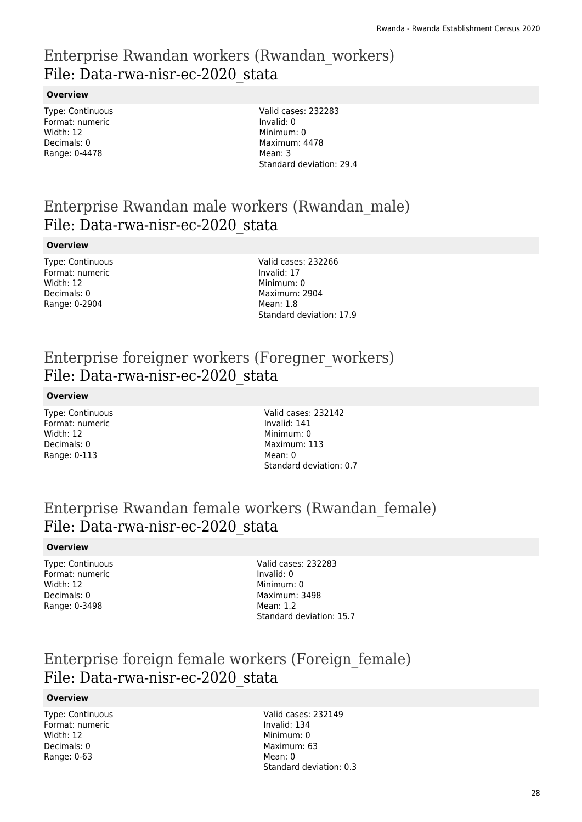### Enterprise Rwandan workers (Rwandan\_workers) File: Data-rwa-nisr-ec-2020\_stata

#### **Overview**

Type: Continuous Format: numeric Width: 12 Decimals: 0 Range: 0-4478

Valid cases: 232283 Invalid: 0 Minimum: 0 Maximum: 4478 Mean: 3 Standard deviation: 29.4

### Enterprise Rwandan male workers (Rwandan\_male) File: Data-rwa-nisr-ec-2020\_stata

#### **Overview**

Type: Continuous Format: numeric Width: 12 Decimals: 0 Range: 0-2904

Valid cases: 232266 Invalid: 17 Minimum: 0 Maximum: 2904 Mean: 1.8 Standard deviation: 17.9

### Enterprise foreigner workers (Foregner\_workers) File: Data-rwa-nisr-ec-2020\_stata

#### **Overview**

Type: Continuous Format: numeric Width: 12 Decimals: 0 Range: 0-113

Valid cases: 232142 Invalid: 141 Minimum: 0 Maximum: 113 Mean: 0 Standard deviation: 0.7

### Enterprise Rwandan female workers (Rwandan\_female) File: Data-rwa-nisr-ec-2020\_stata

#### **Overview**

Type: Continuous Format: numeric Width: 12 Decimals: 0 Range: 0-3498

Valid cases: 232283 Invalid: 0 Minimum: 0 Maximum: 3498 Mean: 1.2 Standard deviation: 15.7

### Enterprise foreign female workers (Foreign\_female) File: Data-rwa-nisr-ec-2020\_stata

#### **Overview**

Type: Continuous Format: numeric Width: 12 Decimals: 0 Range: 0-63

Valid cases: 232149 Invalid: 134 Minimum: 0 Maximum: 63 Mean: 0 Standard deviation: 0.3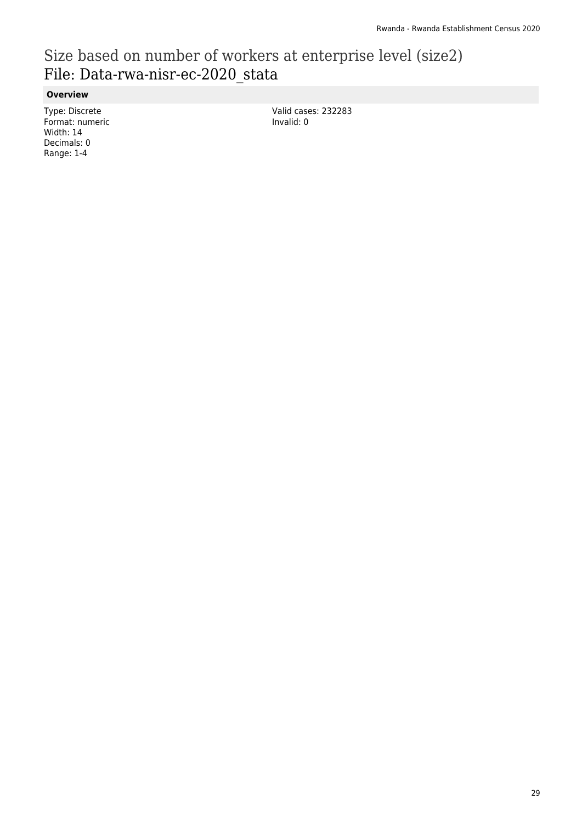# Size based on number of workers at enterprise level (size2) File: Data-rwa-nisr-ec-2020\_stata

**Overview**

Type: Discrete Format: numeric Width: 14 Decimals: 0 Range: 1-4

Valid cases: 232283 Invalid: 0